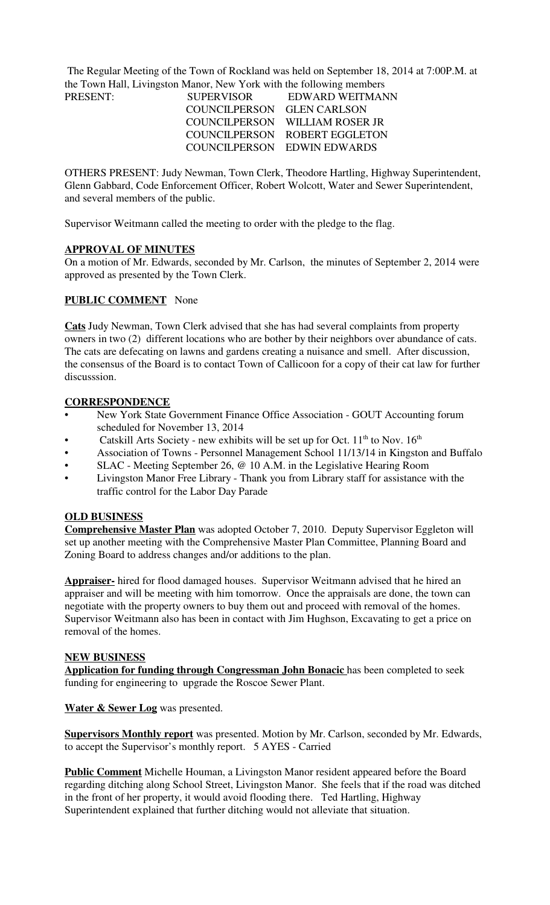The Regular Meeting of the Town of Rockland was held on September 18, 2014 at 7:00P.M. at the Town Hall, Livingston Manor, New York with the following members PRESENT:

| PRESENT: | <b>SUPERVISOR</b>          | EDWARD WEITMAN                 |
|----------|----------------------------|--------------------------------|
|          | COUNCILPERSON GLEN CARLSON |                                |
|          |                            | COUNCILPERSON WILLIAM ROSER JR |
|          |                            | COUNCILPERSON ROBERT EGGLETON  |
|          |                            | COUNCILPERSON EDWIN EDWARDS    |

OTHERS PRESENT: Judy Newman, Town Clerk, Theodore Hartling, Highway Superintendent, Glenn Gabbard, Code Enforcement Officer, Robert Wolcott, Water and Sewer Superintendent, and several members of the public.

Supervisor Weitmann called the meeting to order with the pledge to the flag.

### **APPROVAL OF MINUTES**

On a motion of Mr. Edwards, seconded by Mr. Carlson, the minutes of September 2, 2014 were approved as presented by the Town Clerk.

### **PUBLIC COMMENT** None

**Cats** Judy Newman, Town Clerk advised that she has had several complaints from property owners in two (2) different locations who are bother by their neighbors over abundance of cats. The cats are defecating on lawns and gardens creating a nuisance and smell. After discussion, the consensus of the Board is to contact Town of Callicoon for a copy of their cat law for further discusssion.

### **CORRESPONDENCE**

- New York State Government Finance Office Association GOUT Accounting forum scheduled for November 13, 2014
- Catskill Arts Society new exhibits will be set up for Oct.  $11<sup>th</sup>$  to Nov.  $16<sup>th</sup>$
- Association of Towns Personnel Management School 11/13/14 in Kingston and Buffalo
- SLAC Meeting September 26, @ 10 A.M. in the Legislative Hearing Room
- Livingston Manor Free Library Thank you from Library staff for assistance with the traffic control for the Labor Day Parade

### **OLD BUSINESS**

**Comprehensive Master Plan** was adopted October 7, 2010. Deputy Supervisor Eggleton will set up another meeting with the Comprehensive Master Plan Committee, Planning Board and Zoning Board to address changes and/or additions to the plan.

**Appraiser-** hired for flood damaged houses. Supervisor Weitmann advised that he hired an appraiser and will be meeting with him tomorrow. Once the appraisals are done, the town can negotiate with the property owners to buy them out and proceed with removal of the homes. Supervisor Weitmann also has been in contact with Jim Hughson, Excavating to get a price on removal of the homes.

#### **NEW BUSINESS**

**Application for funding through Congressman John Bonacic** has been completed to seek funding for engineering to upgrade the Roscoe Sewer Plant.

### **Water & Sewer Log** was presented.

**Supervisors Monthly report** was presented. Motion by Mr. Carlson, seconded by Mr. Edwards, to accept the Supervisor's monthly report. 5 AYES - Carried

**Public Comment** Michelle Houman, a Livingston Manor resident appeared before the Board regarding ditching along School Street, Livingston Manor. She feels that if the road was ditched in the front of her property, it would avoid flooding there. Ted Hartling, Highway Superintendent explained that further ditching would not alleviate that situation.